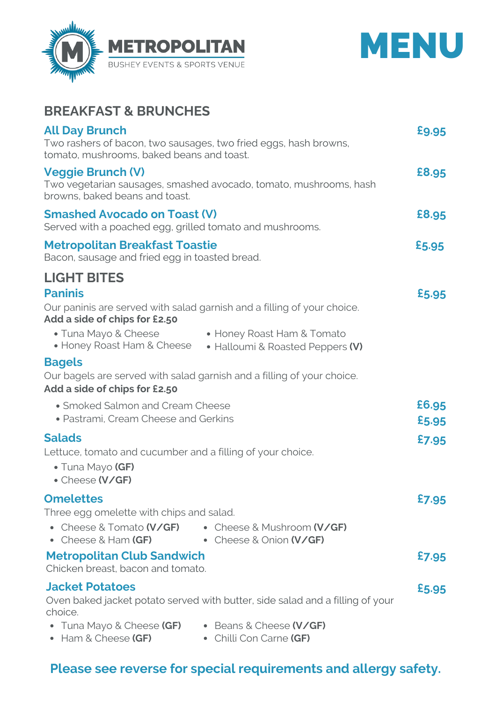



## **BREAKFAST & BRUNCHES**

| <b>All Day Brunch</b><br>tomato, mushrooms, baked beans and toast.                                                                                                         | Two rashers of bacon, two sausages, two fried eggs, hash browns,                                                                          | £9.95          |
|----------------------------------------------------------------------------------------------------------------------------------------------------------------------------|-------------------------------------------------------------------------------------------------------------------------------------------|----------------|
| <b>Veggie Brunch (V)</b><br>Two vegetarian sausages, smashed avocado, tomato, mushrooms, hash<br>browns, baked beans and toast.                                            |                                                                                                                                           | £8.95          |
| <b>Smashed Avocado on Toast (V)</b><br>Served with a poached egg, grilled tomato and mushrooms.                                                                            |                                                                                                                                           | £8.95          |
| <b>Metropolitan Breakfast Toastie</b><br>Bacon, sausage and fried egg in toasted bread.                                                                                    |                                                                                                                                           | £5.95          |
| <b>LIGHT BITES</b>                                                                                                                                                         |                                                                                                                                           |                |
| <b>Paninis</b><br>Add a side of chips for £2.50<br>• Tuna Mayo & Cheese<br>• Honey Roast Ham & Cheese                                                                      | Our paninis are served with salad garnish and a filling of your choice.<br>• Honey Roast Ham & Tomato<br>• Halloumi & Roasted Peppers (V) | £5.95          |
| <b>Bagels</b><br>Add a side of chips for £2.50                                                                                                                             | Our bagels are served with salad garnish and a filling of your choice.                                                                    |                |
| • Smoked Salmon and Cream Cheese<br>• Pastrami, Cream Cheese and Gerkins                                                                                                   |                                                                                                                                           | £6.95<br>£5.95 |
| <b>Salads</b><br>Lettuce, tomato and cucumber and a filling of your choice.<br>• Tuna Mayo (GF)<br>• Cheese (V/GF)                                                         |                                                                                                                                           | £7.95          |
| <b>Omelettes</b><br>Three egg omelette with chips and salad.<br>• Cheese & Tomato (V/GF)<br>• Cheese & Mushroom (V/GF)<br>• Cheese & Ham $(GF)$<br>• Cheese & Onion (V/GF) |                                                                                                                                           | £7.95          |
| <b>Metropolitan Club Sandwich</b><br>Chicken breast, bacon and tomato.                                                                                                     |                                                                                                                                           |                |
| <b>Jacket Potatoes</b><br>Oven baked jacket potato served with butter, side salad and a filling of your<br>choice.                                                         |                                                                                                                                           |                |
| $\bullet$ Tuna Mayo & Cheese <b>(GF)</b><br>$\bullet$ Ham & Cheese (GF)                                                                                                    | • Beans & Cheese (V/GF)<br>• Chilli Con Carne (GF)                                                                                        |                |

## **Please see reverse for special requirements and allergy safety.**